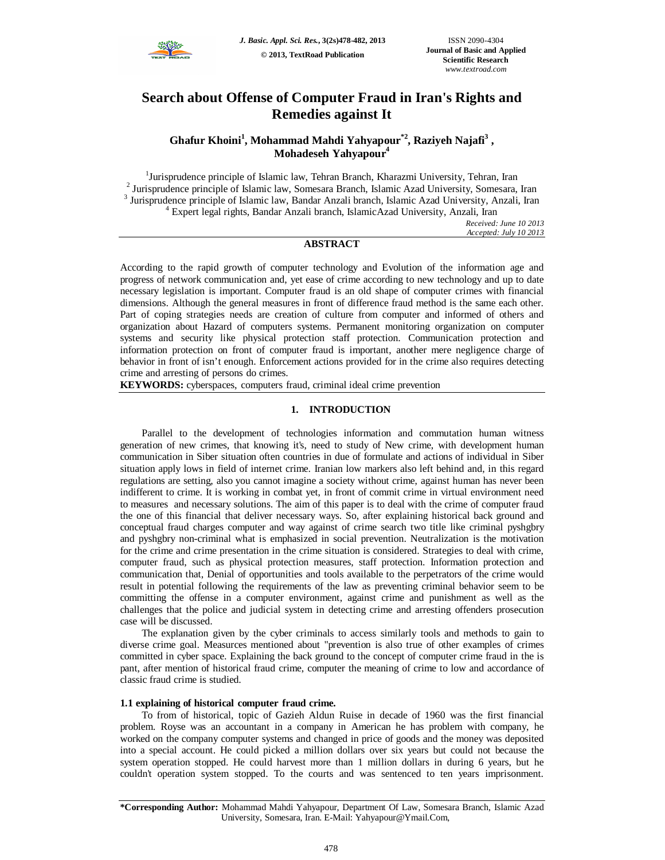

# **Search about Offense of Computer Fraud in Iran's Rights and Remedies against It**

# **Ghafur Khoini<sup>1</sup> , Mohammad Mahdi Yahyapour\*2 , Raziyeh Najafi<sup>3</sup> , Mohadeseh Yahyapour<sup>4</sup>**

<sup>1</sup>Jurisprudence principle of Islamic law, Tehran Branch, Kharazmi University, Tehran, Iran <sup>2</sup> Jurisprudence principle of Islamic law, Somesara Branch, Islamic Azad University, Somesara, Iran <sup>3</sup> Jurisprudence principle of Islamic law, Bandar Anzali branch, Islamic Azad University, Anzali, Iran <sup>4</sup> Expert legal rights, Bandar Anzali branch, IslamicAzad University, Anzali, Iran

> *Received: June 10 2013 Accepted: July 10 2013*

# **ABSTRACT**

According to the rapid growth of computer technology and Evolution of the information age and progress of network communication and, yet ease of crime according to new technology and up to date necessary legislation is important. Computer fraud is an old shape of computer crimes with financial dimensions. Although the general measures in front of difference fraud method is the same each other. Part of coping strategies needs are creation of culture from computer and informed of others and organization about Hazard of computers systems. Permanent monitoring organization on computer systems and security like physical protection staff protection. Communication protection and information protection on front of computer fraud is important, another mere negligence charge of behavior in front of isn't enough. Enforcement actions provided for in the crime also requires detecting crime and arresting of persons do crimes.

**KEYWORDS:** cyberspaces, computers fraud, criminal ideal crime prevention

# **1. INTRODUCTION**

Parallel to the development of technologies information and commutation human witness generation of new crimes, that knowing it's, need to study of New crime, with development human communication in Siber situation often countries in due of formulate and actions of individual in Siber situation apply lows in field of internet crime. Iranian low markers also left behind and, in this regard regulations are setting, also you cannot imagine a society without crime, against human has never been indifferent to crime. It is working in combat yet, in front of commit crime in virtual environment need to measures and necessary solutions. The aim of this paper is to deal with the crime of computer fraud the one of this financial that deliver necessary ways. So, after explaining historical back ground and conceptual fraud charges computer and way against of crime search two title like criminal pyshgbry and pyshgbry non-criminal what is emphasized in social prevention. Neutralization is the motivation for the crime and crime presentation in the crime situation is considered. Strategies to deal with crime, computer fraud, such as physical protection measures, staff protection. Information protection and communication that, Denial of opportunities and tools available to the perpetrators of the crime would result in potential following the requirements of the law as preventing criminal behavior seem to be committing the offense in a computer environment, against crime and punishment as well as the challenges that the police and judicial system in detecting crime and arresting offenders prosecution case will be discussed.

The explanation given by the cyber criminals to access similarly tools and methods to gain to diverse crime goal. Measurces mentioned about "prevention is also true of other examples of crimes committed in cyber space. Explaining the back ground to the concept of computer crime fraud in the is pant, after mention of historical fraud crime, computer the meaning of crime to low and accordance of classic fraud crime is studied.

# **1.1 explaining of historical computer fraud crime.**

To from of historical, topic of Gazieh Aldun Ruise in decade of 1960 was the first financial problem. Royse was an accountant in a company in American he has problem with company, he worked on the company computer systems and changed in price of goods and the money was deposited into a special account. He could picked a million dollars over six years but could not because the system operation stopped. He could harvest more than 1 million dollars in during 6 years, but he couldn't operation system stopped. To the courts and was sentenced to ten years imprisonment.

**<sup>\*</sup>Corresponding Author:** Mohammad Mahdi Yahyapour, Department Of Law, Somesara Branch, Islamic Azad University, Somesara, Iran. E-Mail: Yahyapour@Ymail.Com,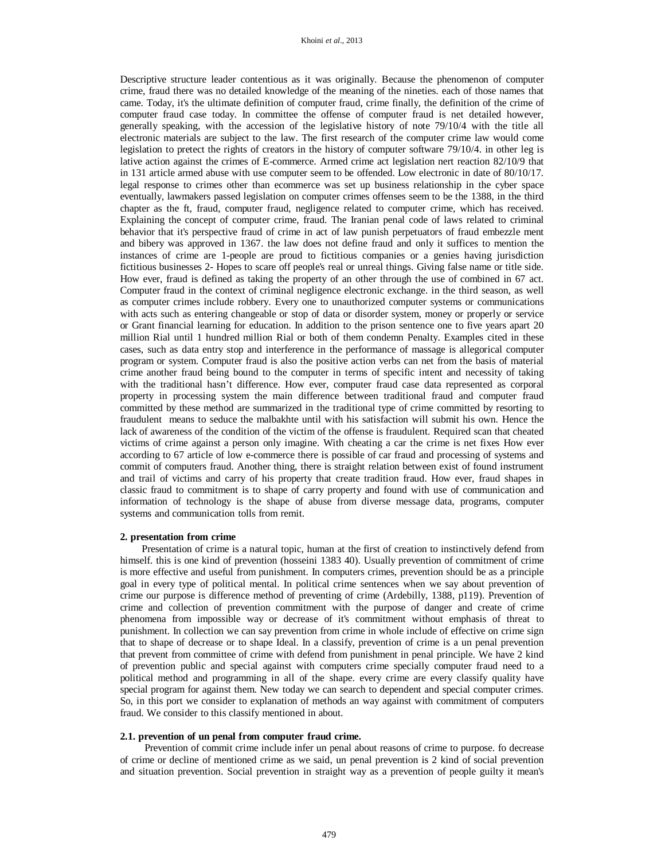Descriptive structure leader contentious as it was originally. Because the phenomenon of computer crime, fraud there was no detailed knowledge of the meaning of the nineties. each of those names that came. Today, it's the ultimate definition of computer fraud, crime finally, the definition of the crime of computer fraud case today. In committee the offense of computer fraud is net detailed however, generally speaking, with the accession of the legislative history of note 79/10/4 with the title all electronic materials are subject to the law. The first research of the computer crime law would come legislation to pretect the rights of creators in the history of computer software 79/10/4. in other leg is lative action against the crimes of E-commerce. Armed crime act legislation nert reaction 82/10/9 that in 131 article armed abuse with use computer seem to be offended. Low electronic in date of 80/10/17. legal response to crimes other than ecommerce was set up business relationship in the cyber space eventually, lawmakers passed legislation on computer crimes offenses seem to be the 1388, in the third chapter as the ft, fraud, computer fraud, negligence related to computer crime, which has received. Explaining the concept of computer crime, fraud. The Iranian penal code of laws related to criminal behavior that it's perspective fraud of crime in act of law punish perpetuators of fraud embezzle ment and bibery was approved in 1367. the law does not define fraud and only it suffices to mention the instances of crime are 1-people are proud to fictitious companies or a genies having jurisdiction fictitious businesses 2- Hopes to scare off people's real or unreal things. Giving false name or title side. How ever, fraud is defined as taking the property of an other through the use of combined in 67 act. Computer fraud in the context of criminal negligence electronic exchange. in the third season, as well as computer crimes include robbery. Every one to unauthorized computer systems or communications with acts such as entering changeable or stop of data or disorder system, money or properly or service or Grant financial learning for education. In addition to the prison sentence one to five years apart 20 million Rial until 1 hundred million Rial or both of them condemn Penalty. Examples cited in these cases, such as data entry stop and interference in the performance of massage is allegorical computer program or system. Computer fraud is also the positive action verbs can net from the basis of material crime another fraud being bound to the computer in terms of specific intent and necessity of taking with the traditional hasn't difference. How ever, computer fraud case data represented as corporal property in processing system the main difference between traditional fraud and computer fraud committed by these method are summarized in the traditional type of crime committed by resorting to fraudulent means to seduce the malbakhte until with his satisfaction will submit his own. Hence the lack of awareness of the condition of the victim of the offense is fraudulent. Required scan that cheated victims of crime against a person only imagine. With cheating a car the crime is net fixes How ever according to 67 article of low e-commerce there is possible of car fraud and processing of systems and commit of computers fraud. Another thing, there is straight relation between exist of found instrument and trail of victims and carry of his property that create tradition fraud. How ever, fraud shapes in classic fraud to commitment is to shape of carry property and found with use of communication and information of technology is the shape of abuse from diverse message data, programs, computer systems and communication tolls from remit.

# **2. presentation from crime**

Presentation of crime is a natural topic, human at the first of creation to instinctively defend from himself. this is one kind of prevention (hosseini 1383 40). Usually prevention of commitment of crime is more effective and useful from punishment. In computers crimes, prevention should be as a principle goal in every type of political mental. In political crime sentences when we say about prevention of crime our purpose is difference method of preventing of crime (Ardebilly, 1388, p119). Prevention of crime and collection of prevention commitment with the purpose of danger and create of crime phenomena from impossible way or decrease of it's commitment without emphasis of threat to punishment. In collection we can say prevention from crime in whole include of effective on crime sign that to shape of decrease or to shape Ideal. In a classify, prevention of crime is a un penal prevention that prevent from committee of crime with defend from punishment in penal principle. We have 2 kind of prevention public and special against with computers crime specially computer fraud need to a political method and programming in all of the shape. every crime are every classify quality have special program for against them. New today we can search to dependent and special computer crimes. So, in this port we consider to explanation of methods an way against with commitment of computers fraud. We consider to this classify mentioned in about.

#### **2.1. prevention of un penal from computer fraud crime.**

Prevention of commit crime include infer un penal about reasons of crime to purpose. fo decrease of crime or decline of mentioned crime as we said, un penal prevention is 2 kind of social prevention and situation prevention. Social prevention in straight way as a prevention of people guilty it mean's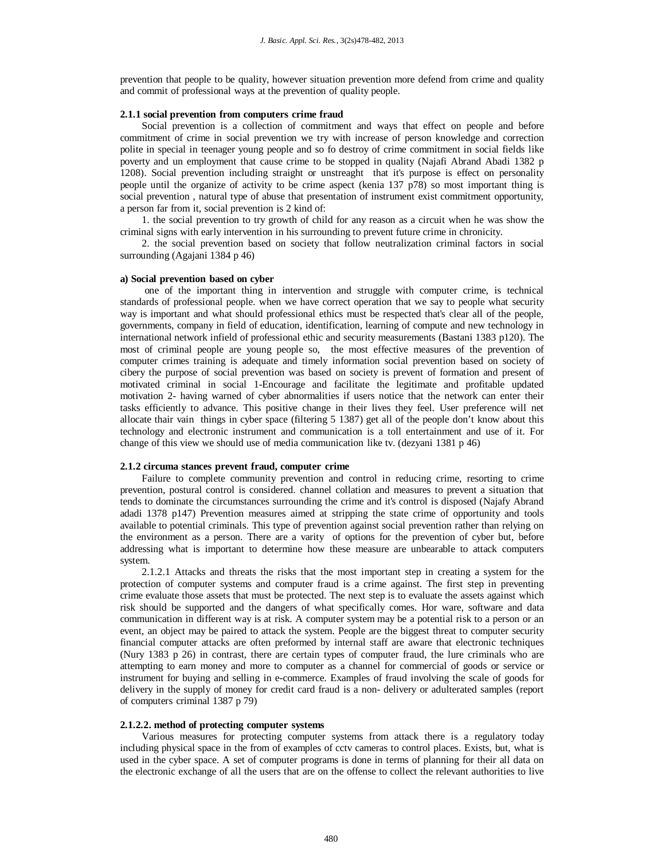prevention that people to be quality, however situation prevention more defend from crime and quality and commit of professional ways at the prevention of quality people.

#### **2.1.1 social prevention from computers crime fraud**

Social prevention is a collection of commitment and ways that effect on people and before commitment of crime in social prevention we try with increase of person knowledge and correction polite in special in teenager young people and so fo destroy of crime commitment in social fields like poverty and un employment that cause crime to be stopped in quality (Najafi Abrand Abadi 1382 p 1208). Social prevention including straight or unstreaght that it's purpose is effect on personality people until the organize of activity to be crime aspect (kenia 137 p78) so most important thing is social prevention , natural type of abuse that presentation of instrument exist commitment opportunity, a person far from it, social prevention is 2 kind of:

1. the social prevention to try growth of child for any reason as a circuit when he was show the criminal signs with early intervention in his surrounding to prevent future crime in chronicity.

2. the social prevention based on society that follow neutralization criminal factors in social surrounding (Agajani 1384 p 46)

# **a) Social prevention based on cyber**

one of the important thing in intervention and struggle with computer crime, is technical standards of professional people. when we have correct operation that we say to people what security way is important and what should professional ethics must be respected that's clear all of the people, governments, company in field of education, identification, learning of compute and new technology in international network infield of professional ethic and security measurements (Bastani 1383 p120). The most of criminal people are young people so, the most effective measures of the prevention of computer crimes training is adequate and timely information social prevention based on society of cibery the purpose of social prevention was based on society is prevent of formation and present of motivated criminal in social 1-Encourage and facilitate the legitimate and profitable updated motivation 2- having warned of cyber abnormalities if users notice that the network can enter their tasks efficiently to advance. This positive change in their lives they feel. User preference will net allocate thair vain things in cyber space (filtering 5 1387) get all of the people don't know about this technology and electronic instrument and communication is a toll entertainment and use of it. For change of this view we should use of media communication like tv. (dezyani 1381 p 46)

#### **2.1.2 circuma stances prevent fraud, computer crime**

Failure to complete community prevention and control in reducing crime, resorting to crime prevention, postural control is considered. channel collation and measures to prevent a situation that tends to dominate the circumstances surrounding the crime and it's control is disposed (Najafy Abrand adadi 1378 p147) Prevention measures aimed at stripping the state crime of opportunity and tools available to potential criminals. This type of prevention against social prevention rather than relying on the environment as a person. There are a varity of options for the prevention of cyber but, before addressing what is important to determine how these measure are unbearable to attack computers system.

2.1.2.1 Attacks and threats the risks that the most important step in creating a system for the protection of computer systems and computer fraud is a crime against. The first step in preventing crime evaluate those assets that must be protected. The next step is to evaluate the assets against which risk should be supported and the dangers of what specifically comes. Hor ware, software and data communication in different way is at risk. A computer system may be a potential risk to a person or an event, an object may be paired to attack the system. People are the biggest threat to computer security financial computer attacks are often preformed by internal staff are aware that electronic techniques (Nury 1383 p 26) in contrast, there are certain types of computer fraud, the lure criminals who are attempting to earn money and more to computer as a channel for commercial of goods or service or instrument for buying and selling in e-commerce. Examples of fraud involving the scale of goods for delivery in the supply of money for credit card fraud is a non- delivery or adulterated samples (report of computers criminal 1387 p 79)

#### **2.1.2.2. method of protecting computer systems**

Various measures for protecting computer systems from attack there is a regulatory today including physical space in the from of examples of cctv cameras to control places. Exists, but, what is used in the cyber space. A set of computer programs is done in terms of planning for their all data on the electronic exchange of all the users that are on the offense to collect the relevant authorities to live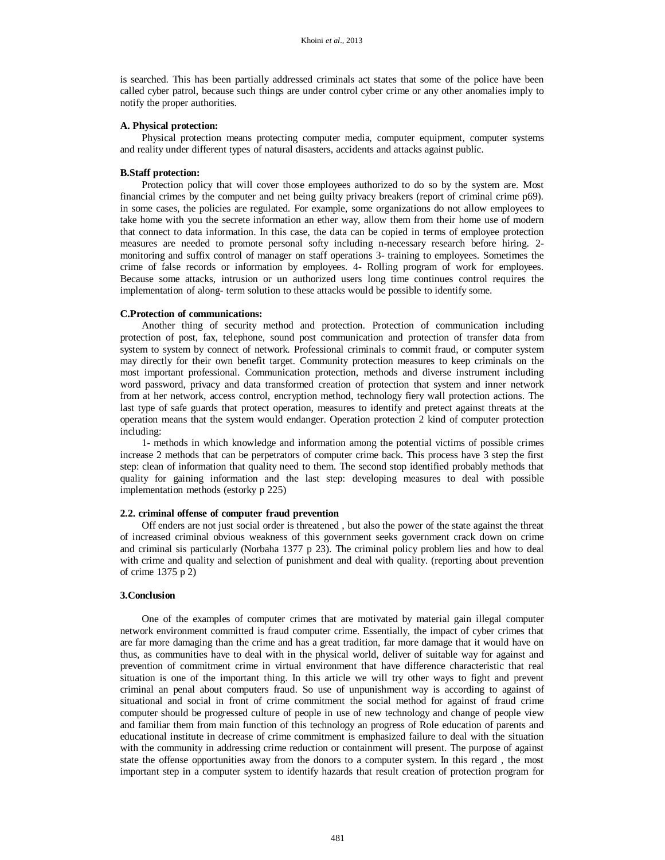is searched. This has been partially addressed criminals act states that some of the police have been called cyber patrol, because such things are under control cyber crime or any other anomalies imply to notify the proper authorities.

# **A. Physical protection:**

Physical protection means protecting computer media, computer equipment, computer systems and reality under different types of natural disasters, accidents and attacks against public.

## **B.Staff protection:**

Protection policy that will cover those employees authorized to do so by the system are. Most financial crimes by the computer and net being guilty privacy breakers (report of criminal crime p69). in some cases, the policies are regulated. For example, some organizations do not allow employees to take home with you the secrete information an ether way, allow them from their home use of modern that connect to data information. In this case, the data can be copied in terms of employee protection measures are needed to promote personal softy including n-necessary research before hiring. 2 monitoring and suffix control of manager on staff operations 3- training to employees. Sometimes the crime of false records or information by employees. 4- Rolling program of work for employees. Because some attacks, intrusion or un authorized users long time continues control requires the implementation of along- term solution to these attacks would be possible to identify some.

#### **C.Protection of communications:**

Another thing of security method and protection. Protection of communication including protection of post, fax, telephone, sound post communication and protection of transfer data from system to system by connect of network. Professional criminals to commit fraud, or computer system may directly for their own benefit target. Community protection measures to keep criminals on the most important professional. Communication protection, methods and diverse instrument including word password, privacy and data transformed creation of protection that system and inner network from at her network, access control, encryption method, technology fiery wall protection actions. The last type of safe guards that protect operation, measures to identify and pretect against threats at the operation means that the system would endanger. Operation protection 2 kind of computer protection including:

1- methods in which knowledge and information among the potential victims of possible crimes increase 2 methods that can be perpetrators of computer crime back. This process have 3 step the first step: clean of information that quality need to them. The second stop identified probably methods that quality for gaining information and the last step: developing measures to deal with possible implementation methods (estorky p 225)

# **2.2. criminal offense of computer fraud prevention**

Off enders are not just social order is threatened , but also the power of the state against the threat of increased criminal obvious weakness of this government seeks government crack down on crime and criminal sis particularly (Norbaha 1377 p 23). The criminal policy problem lies and how to deal with crime and quality and selection of punishment and deal with quality. (reporting about prevention of crime 1375 p 2)

#### **3.Conclusion**

One of the examples of computer crimes that are motivated by material gain illegal computer network environment committed is fraud computer crime. Essentially, the impact of cyber crimes that are far more damaging than the crime and has a great tradition, far more damage that it would have on thus, as communities have to deal with in the physical world, deliver of suitable way for against and prevention of commitment crime in virtual environment that have difference characteristic that real situation is one of the important thing. In this article we will try other ways to fight and prevent criminal an penal about computers fraud. So use of unpunishment way is according to against of situational and social in front of crime commitment the social method for against of fraud crime computer should be progressed culture of people in use of new technology and change of people view and familiar them from main function of this technology an progress of Role education of parents and educational institute in decrease of crime commitment is emphasized failure to deal with the situation with the community in addressing crime reduction or containment will present. The purpose of against state the offense opportunities away from the donors to a computer system. In this regard , the most important step in a computer system to identify hazards that result creation of protection program for